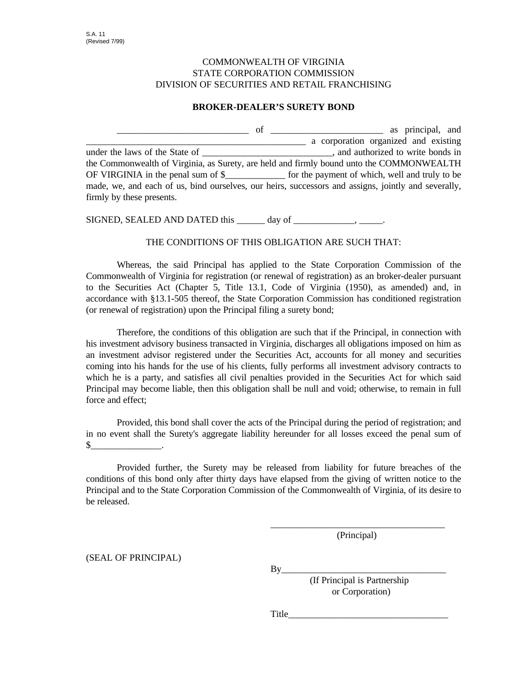## COMMONWEALTH OF VIRGINIA STATE CORPORATION COMMISSION DIVISION OF SECURITIES AND RETAIL FRANCHISING

## **BROKER-DEALER'S SURETY BOND**

\_\_\_\_\_\_\_\_\_\_\_\_\_\_\_\_\_\_\_\_\_\_\_\_\_\_\_\_ of \_\_\_\_\_\_\_\_\_\_\_\_\_\_\_\_\_\_\_\_\_\_\_\_ as principal, and a corporation organized and existing under the laws of the State of  $\Box$  and authorized to write bonds in the Commonwealth of Virginia, as Surety, are held and firmly bound unto the COMMONWEALTH OF VIRGINIA in the penal sum of \$ for the payment of which, well and truly to be made, we, and each of us, bind ourselves, our heirs, successors and assigns, jointly and severally, firmly by these presents.

SIGNED, SEALED AND DATED this \_\_\_\_\_\_ day of \_\_\_\_\_\_\_\_\_\_\_\_\_, \_\_\_\_\_.

## THE CONDITIONS OF THIS OBLIGATION ARE SUCH THAT:

Whereas, the said Principal has applied to the State Corporation Commission of the Commonwealth of Virginia for registration (or renewal of registration) as an broker-dealer pursuant to the Securities Act (Chapter 5, Title 13.1, Code of Virginia (1950), as amended) and, in accordance with §13.1-505 thereof, the State Corporation Commission has conditioned registration (or renewal of registration) upon the Principal filing a surety bond;

Therefore, the conditions of this obligation are such that if the Principal, in connection with his investment advisory business transacted in Virginia, discharges all obligations imposed on him as an investment advisor registered under the Securities Act, accounts for all money and securities coming into his hands for the use of his clients, fully performs all investment advisory contracts to which he is a party, and satisfies all civil penalties provided in the Securities Act for which said Principal may become liable, then this obligation shall be null and void; otherwise, to remain in full force and effect;

Provided, this bond shall cover the acts of the Principal during the period of registration; and in no event shall the Surety's aggregate liability hereunder for all losses exceed the penal sum of  $\mathbb{S}$   $\qquad \qquad \ldots$ 

Provided further, the Surety may be released from liability for future breaches of the conditions of this bond only after thirty days have elapsed from the giving of written notice to the Principal and to the State Corporation Commission of the Commonwealth of Virginia, of its desire to be released.

> \_\_\_\_\_\_\_\_\_\_\_\_\_\_\_\_\_\_\_\_\_\_\_\_\_\_\_\_\_\_\_\_\_\_\_\_\_ (Principal)

(SEAL OF PRINCIPAL)

By\_\_\_\_\_\_\_\_\_\_\_\_\_\_\_\_\_\_\_\_\_\_\_\_\_\_\_\_\_\_\_\_\_\_\_

 (If Principal is Partnership or Corporation)

Title